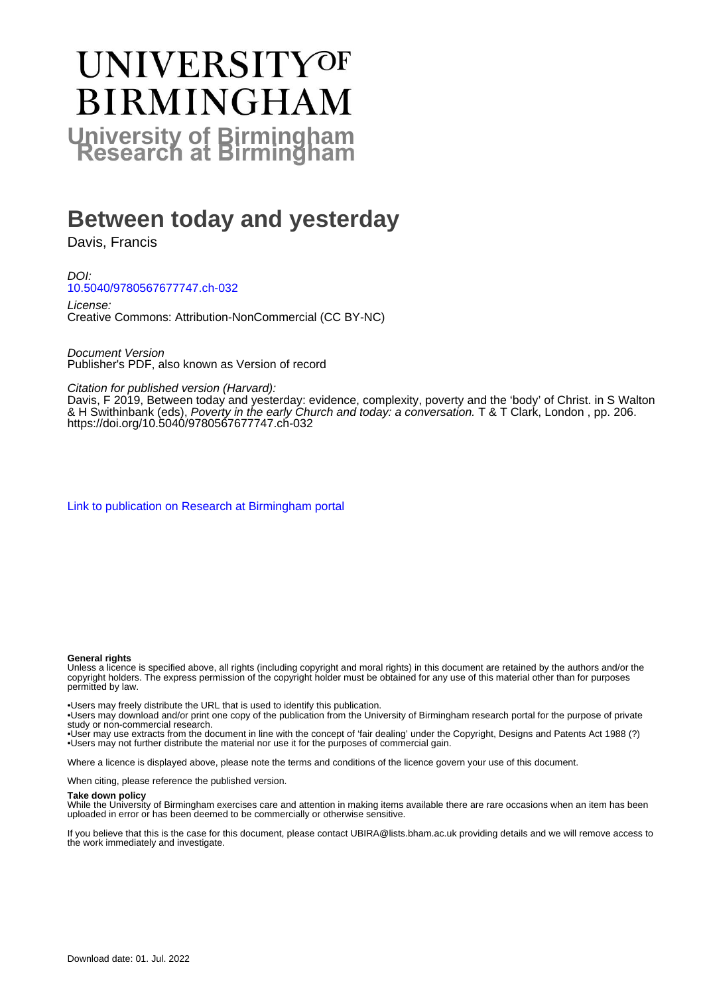# **UNIVERSITYOF BIRMINGHAM University of Birmingham**

### **Between today and yesterday**

Davis, Francis

DOI: [10.5040/9780567677747.ch-032](https://doi.org/10.5040/9780567677747.ch-032)

License: Creative Commons: Attribution-NonCommercial (CC BY-NC)

Document Version Publisher's PDF, also known as Version of record

Citation for published version (Harvard):

Davis, F 2019, Between today and yesterday: evidence, complexity, poverty and the 'body' of Christ. in S Walton & H Swithinbank (eds), Poverty in the early Church and today: a conversation. T & T Clark, London, pp. 206. <https://doi.org/10.5040/9780567677747.ch-032>

[Link to publication on Research at Birmingham portal](https://birmingham.elsevierpure.com/en/publications/d3a8ce9b-c2eb-4e9a-b3fa-738236fb9f39)

#### **General rights**

Unless a licence is specified above, all rights (including copyright and moral rights) in this document are retained by the authors and/or the copyright holders. The express permission of the copyright holder must be obtained for any use of this material other than for purposes permitted by law.

• Users may freely distribute the URL that is used to identify this publication.

• Users may download and/or print one copy of the publication from the University of Birmingham research portal for the purpose of private study or non-commercial research.

• User may use extracts from the document in line with the concept of 'fair dealing' under the Copyright, Designs and Patents Act 1988 (?) • Users may not further distribute the material nor use it for the purposes of commercial gain.

Where a licence is displayed above, please note the terms and conditions of the licence govern your use of this document.

When citing, please reference the published version.

#### **Take down policy**

While the University of Birmingham exercises care and attention in making items available there are rare occasions when an item has been uploaded in error or has been deemed to be commercially or otherwise sensitive.

If you believe that this is the case for this document, please contact UBIRA@lists.bham.ac.uk providing details and we will remove access to the work immediately and investigate.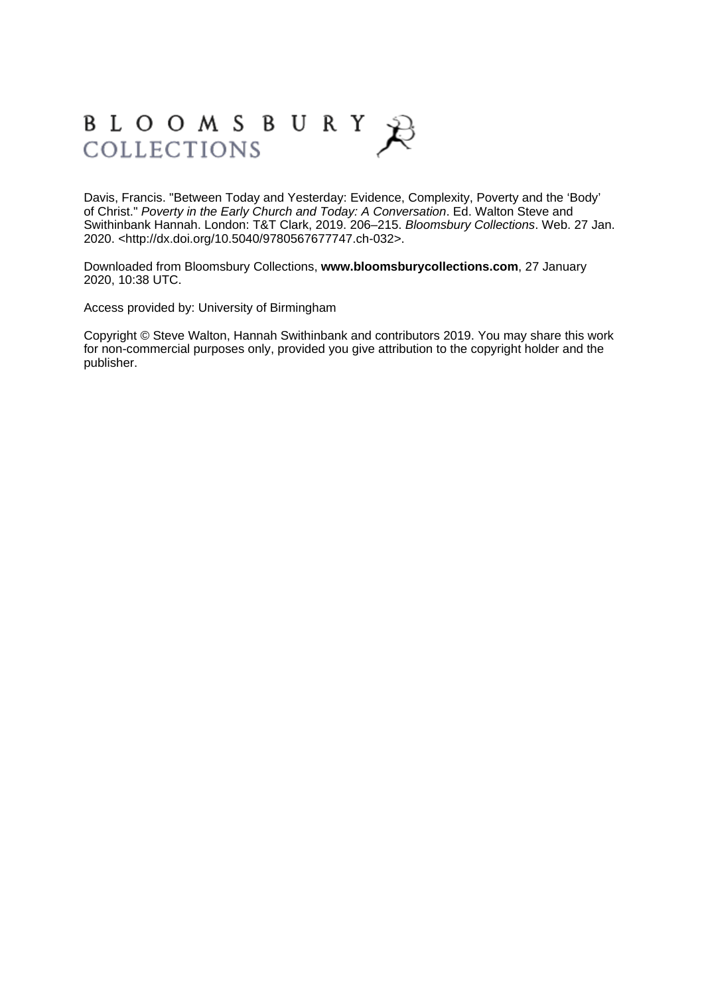## BLOOMSBURY COLLECTIONS

Davis, Francis. "Between Today and Yesterday: Evidence, Complexity, Poverty and the 'Body' of Christ." Poverty in the Early Church and Today: A Conversation. Ed. Walton Steve and Swithinbank Hannah. London: T&T Clark, 2019. 206–215. Bloomsbury Collections. Web. 27 Jan. 2020. <http://dx.doi.org/10.5040/9780567677747.ch-032>.

Downloaded from Bloomsbury Collections, **[www.bloomsburycollections.com](http://www.bloomsburycollections.com)**, 27 January 2020, 10:38 UTC.

Access provided by: University of Birmingham

Copyright © Steve Walton, Hannah Swithinbank and contributors 2019. You may share this work for non-commercial purposes only, provided you give attribution to the copyright holder and the publisher.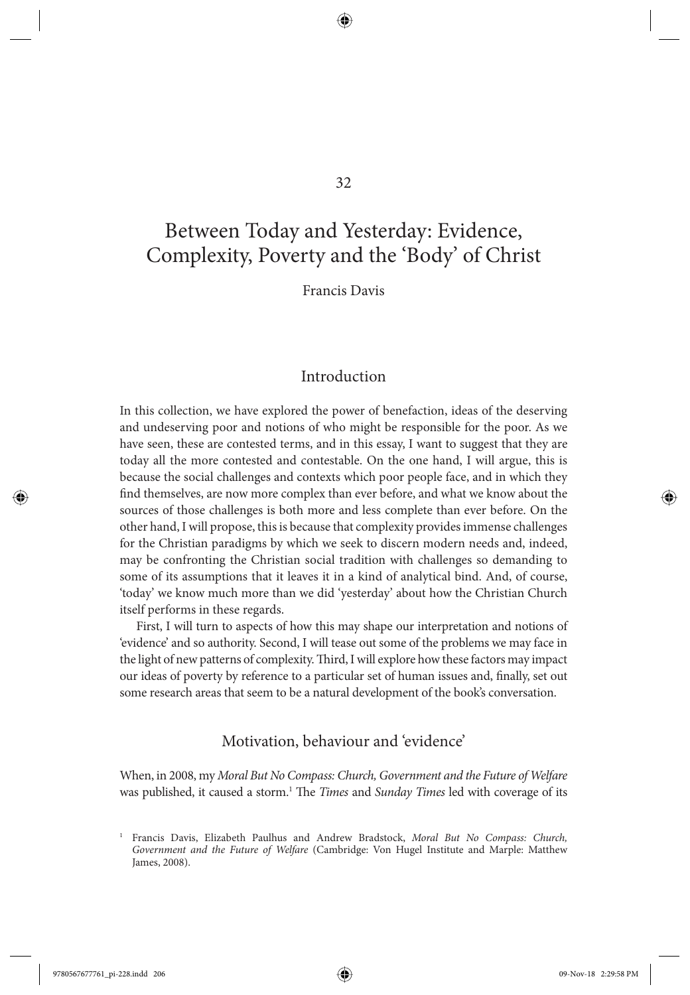#### 32

⊕

### Between Today and Yesterday: Evidence, Complexity, Poverty and the 'Body' of Christ

Francis Davis

#### Introduction

 In this collection, we have explored the power of benefaction, ideas of the deserving and undeserving poor and notions of who might be responsible for the poor. As we have seen, these are contested terms, and in this essay, I want to suggest that they are today all the more contested and contestable. On the one hand, I will argue, this is because the social challenges and contexts which poor people face, and in which they find themselves, are now more complex than ever before, and what we know about the sources of those challenges is both more and less complete than ever before. On the other hand, I will propose, this is because that complexity provides immense challenges for the Christian paradigms by which we seek to discern modern needs and, indeed, may be confronting the Christian social tradition with challenges so demanding to some of its assumptions that it leaves it in a kind of analytical bind. And, of course, 'today' we know much more than we did 'yesterday' about how the Christian Church itself performs in these regards.

 First, I will turn to aspects of how this may shape our interpretation and notions of 'evidence' and so authority. Second, I will tease out some of the problems we may face in the light of new patterns of complexity. Third, I will explore how these factors may impact our ideas of poverty by reference to a particular set of human issues and, finally, set out some research areas that seem to be a natural development of the book's conversation.

#### Motivation, behaviour and 'evidence'

 When, in 2008, my *Moral But No Compass: Church, Government and the Future of Welfare* was published, it caused a storm.<sup>1</sup> The *Times* and *Sunday Times* led with coverage of its

9780567677761\_pi-228.indd 206 99-Nov-18 2:29:58 PM 9-Nov-18 2:29:58 PM 9-Nov-18 2:29:58 PM 9-Nov-18 2:29:58 PM

 $\textcolor{blue}{\textcircled{\star}}$ 

<sup>&</sup>lt;sup>1</sup> Francis Davis, Elizabeth Paulhus and Andrew Bradstock, Moral But No Compass: Church, Government and the Future of Welfare (Cambridge: Von Hugel Institute and Marple: Matthew James, 2008).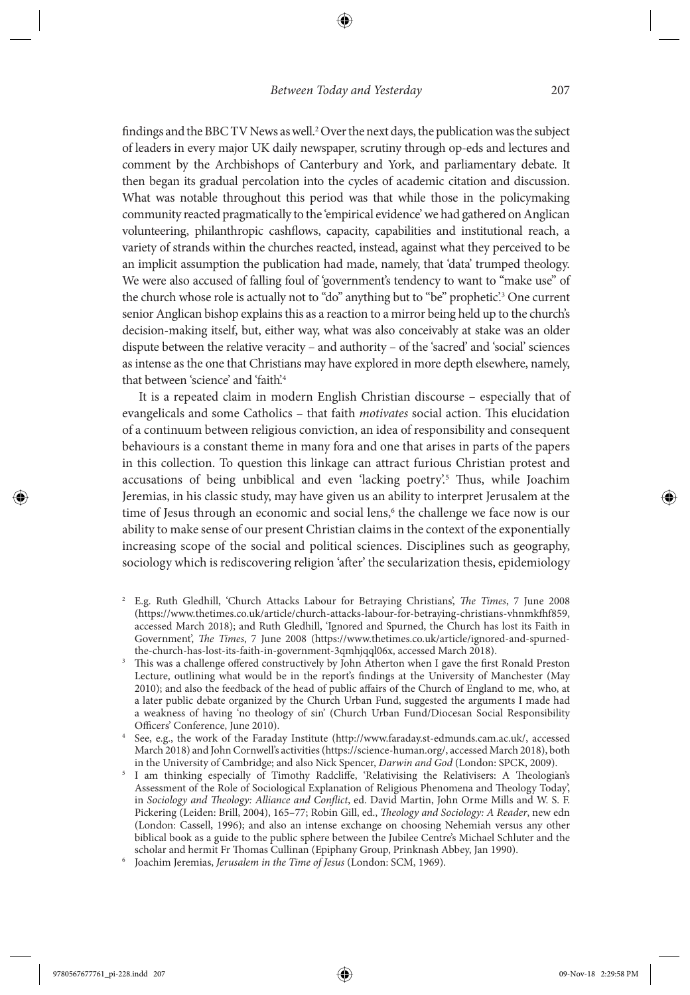findings and the BBC TV News as well.<sup>2</sup> Over the next days, the publication was the subject of leaders in every major UK daily newspaper, scrutiny through op-eds and lectures and comment by the Archbishops of Canterbury and York, and parliamentary debate. It then began its gradual percolation into the cycles of academic citation and discussion. What was notable throughout this period was that while those in the policymaking community reacted pragmatically to the 'empirical evidence' we had gathered on Anglican volunteering, philanthropic cashflows, capacity, capabilities and institutional reach, a variety of strands within the churches reacted, instead, against what they perceived to be an implicit assumption the publication had made, namely, that 'data' trumped theology. We were also accused of falling foul of 'government's tendency to want to "make use" of the church whose role is actually not to "do" anything but to "be" prophetic'.<sup>3</sup> One current senior Anglican bishop explains this as a reaction to a mirror being held up to the church's decision-making itself, but, either way, what was also conceivably at stake was an older dispute between the relative veracity – and authority – of the 'sacred' and 'social' sciences as intense as the one that Christians may have explored in more depth elsewhere, namely, that between 'science' and 'faith'.<sup>4</sup>

 It is a repeated claim in modern English Christian discourse – especially that of evangelicals and some Catholics – that faith *motivates* social action. This elucidation of a continuum between religious conviction, an idea of responsibility and consequent behaviours is a constant theme in many fora and one that arises in parts of the papers in this collection. To question this linkage can attract furious Christian protest and accusations of being unbiblical and even 'lacking poetry'.<sup>5</sup> Thus, while Joachim Jeremias, in his classic study, may have given us an ability to interpret Jerusalem at the time of Jesus through an economic and social lens, 6 the challenge we face now is our ability to make sense of our present Christian claims in the context of the exponentially increasing scope of the social and political sciences. Disciplines such as geography, sociology which is rediscovering religion 'after' the secularization thesis, epidemiology

- <sup>2</sup> E.g. Ruth Gledhill, 'Church Attacks Labour for Betraying Christians', *The Times*, 7 June 2008 ( https://www.thetimes.co.uk/article/church-attacks-labour-for-betraying-christians-vhnmkfh f859 , accessed March 2018); and Ruth Gledhill, 'Ignored and Spurned, the Church has lost its Faith in Government', *The Times*, 7 June 2008 (https://www.thetimes.co.uk/article/ignored-and-spurnedthe-church-has-lost-its-faith-in-government-3qmhjqql06x, accessed March 2018).
- This was a challenge offered constructively by John Atherton when I gave the first Ronald Preston Lecture, outlining what would be in the report's findings at the University of Manchester (May 2010); and also the feedback of the head of public affairs of the Church of England to me, who, at a later public debate organized by the Church Urban Fund, suggested the arguments I made had a weakness of having 'no theology of sin' (Church Urban Fund/Diocesan Social Responsibility Officers' Conference, June 2010).
- See, e.g., the work of the Faraday Institute ( http://www.faraday.st-edmunds.cam.ac.uk/ , accessed March 2018) and John Cornwell's activities ( https://science-human.org/ , accessed March 2018), both in the University of Cambridge; and also Nick Spencer, *Darwin and God* (London: SPCK, 2009).
- I am thinking especially of Timothy Radcliffe, 'Relativising the Relativisers: A Theologian's Assessment of the Role of Sociological Explanation of Religious Phenomena and Theology Today', in *Sociology and Theology: Alliance and Conflict*, ed. David Martin, John Orme Mills and W. S. F. Pickering (Leiden: Brill, 2004), 165-77; Robin Gill, ed., *Theology and Sociology: A Reader*, new edn (London: Cassell, 1996); and also an intense exchange on choosing Nehemiah versus any other biblical book as a guide to the public sphere between the Jubilee Centre's Michael Schluter and the scholar and hermit Fr Thomas Cullinan (Epiphany Group, Prinknash Abbey, Jan 1990).
- Joachim Jeremias, *Jerusalem in the Time of Jesus* (London: SCM, 1969).

 $\textcolor{blue}{\textcircled{\star}}$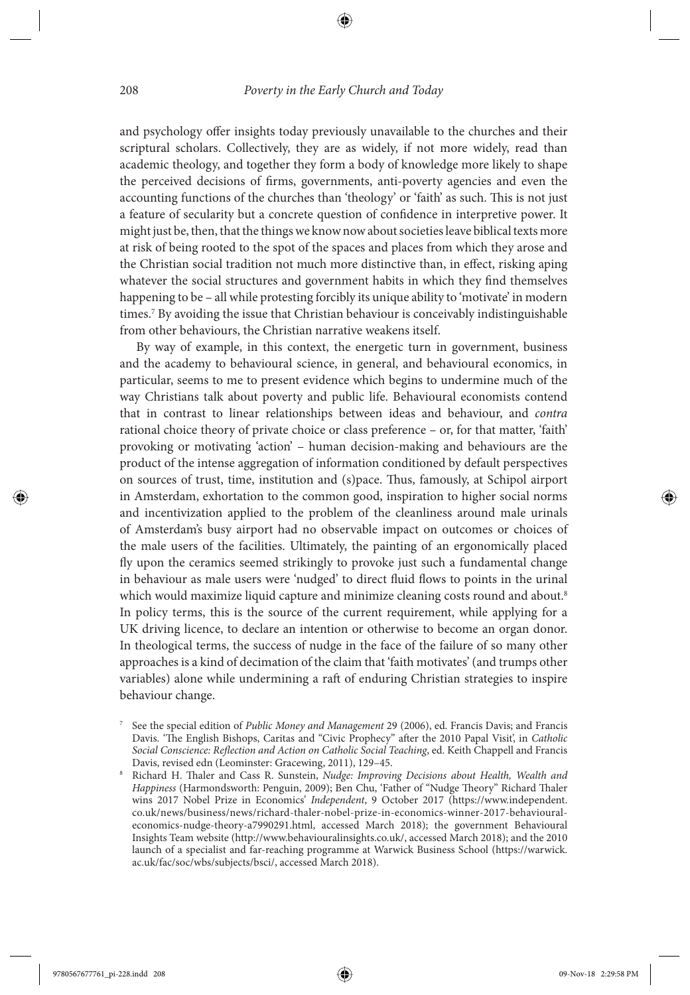and psychology offer insights today previously unavailable to the churches and their scriptural scholars. Collectively, they are as widely, if not more widely, read than academic theology, and together they form a body of knowledge more likely to shape the perceived decisions of firms, governments, anti-poverty agencies and even the accounting functions of the churches than 'theology' or 'faith' as such. This is not just a feature of secularity but a concrete question of confidence in interpretive power. It might just be, then, that the things we know now about societies leave biblical texts more at risk of being rooted to the spot of the spaces and places from which they arose and the Christian social tradition not much more distinctive than, in effect, risking aping whatever the social structures and government habits in which they find themselves happening to be – all while protesting forcibly its unique ability to 'motivate' in modern times.<sup>7</sup> By avoiding the issue that Christian behaviour is conceivably indistinguishable from other behaviours, the Christian narrative weakens itself.

 By way of example, in this context, the energetic turn in government, business and the academy to behavioural science, in general, and behavioural economics, in particular, seems to me to present evidence which begins to undermine much of the way Christians talk about poverty and public life. Behavioural economists contend that in contrast to linear relationships between ideas and behaviour, and *contra* rational choice theory of private choice or class preference – or, for that matter, 'faith' provoking or motivating 'action' – human decision-making and behaviours are the product of the intense aggregation of information conditioned by default perspectives on sources of trust, time, institution and (s)pace. Thus, famously, at Schipol airport in Amsterdam, exhortation to the common good, inspiration to higher social norms and incentivization applied to the problem of the cleanliness around male urinals of Amsterdam's busy airport had no observable impact on outcomes or choices of the male users of the facilities. Ultimately, the painting of an ergonomically placed fly upon the ceramics seemed strikingly to provoke just such a fundamental change in behaviour as male users were 'nudged' to direct fluid flows to points in the urinal which would maximize liquid capture and minimize cleaning costs round and about.<sup>8</sup> In policy terms, this is the source of the current requirement, while applying for a UK driving licence, to declare an intention or otherwise to become an organ donor. In theological terms, the success of nudge in the face of the failure of so many other approaches is a kind of decimation of the claim that 'faith motivates' (and trumps other variables) alone while undermining a raft of enduring Christian strategies to inspire behaviour change.

 $\textcolor{blue}{\textcircled{\star}}$ 

<sup>7</sup> See the special edition of *Public Money and Management* 29 (2006), ed. Francis Davis; and Francis Davis. 'The English Bishops, Caritas and "Civic Prophecy" after the 2010 Papal Visit', in *Catholic* Social Conscience: Reflection and Action on Catholic Social Teaching, ed. Keith Chappell and Francis Davis, revised edn (Leominster: Gracewing, 2011), 129-45.

Richard H. Thaler and Cass R. Sunstein, *Nudge: Improving Decisions about Health, Wealth and Happiness* (Harmondsworth: Penguin, 2009); Ben Chu, 'Father of "Nudge Theory" Richard Thaler wins 2017 Nobel Prize in Economics' Independent, 9 October 2017 (https://www.independent. co.uk/news/business/news/richard-thaler-nobel-prize-in-economics-winner-2017-behaviouraleconomics-nudge-theory-a7990291.html, accessed March 2018); the government Behavioural Insights Team website ( http://www.behaviouralinsights.co.uk/ , accessed March 2018); and the 2010 launch of a specialist and far-reaching programme at Warwick Business School ( https://warwick. ac.uk/fac/soc/wbs/subjects/bsci/ , accessed March 2018).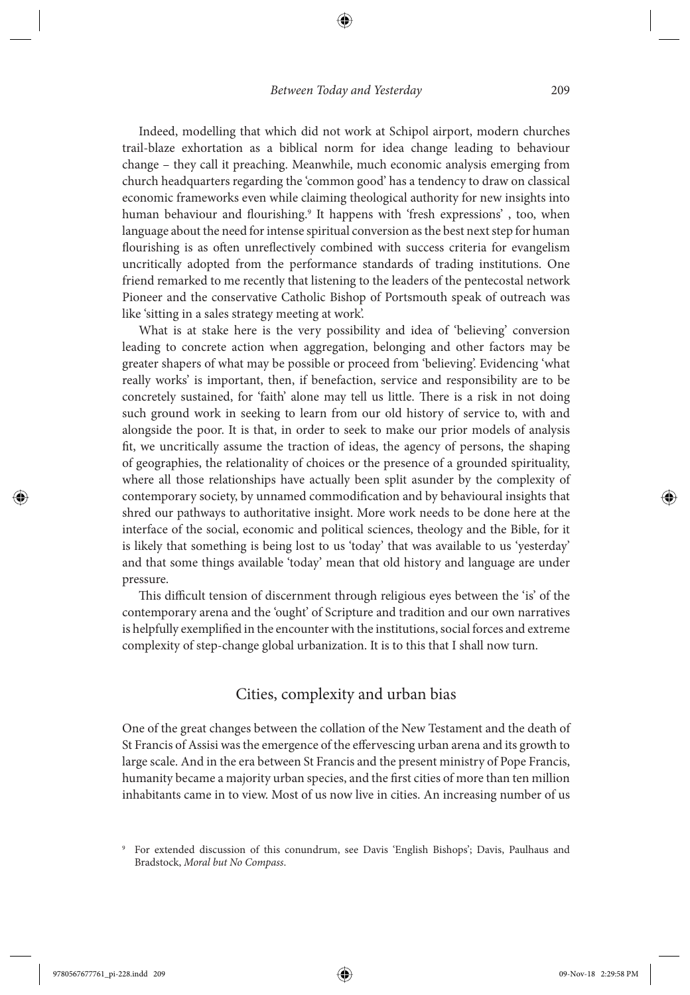Indeed, modelling that which did not work at Schipol airport, modern churches trail-blaze exhortation as a biblical norm for idea change leading to behaviour change – they call it preaching. Meanwhile, much economic analysis emerging from church headquarters regarding the 'common good' has a tendency to draw on classical economic frameworks even while claiming theological authority for new insights into human behaviour and flourishing.<sup>9</sup> It happens with 'fresh expressions', too, when language about the need for intense spiritual conversion as the best next step for human flourishing is as often unreflectively combined with success criteria for evangelism uncritically adopted from the performance standards of trading institutions. One friend remarked to me recently that listening to the leaders of the pentecostal network Pioneer and the conservative Catholic Bishop of Portsmouth speak of outreach was like 'sitting in a sales strategy meeting at work'.

 What is at stake here is the very possibility and idea of 'believing' conversion leading to concrete action when aggregation, belonging and other factors may be greater shapers of what may be possible or proceed from 'believing'. Evidencing 'what really works' is important, then, if benefaction, service and responsibility are to be concretely sustained, for 'faith' alone may tell us little. There is a risk in not doing such ground work in seeking to learn from our old history of service to, with and alongside the poor. It is that, in order to seek to make our prior models of analysis fit, we uncritically assume the traction of ideas, the agency of persons, the shaping of geographies, the relationality of choices or the presence of a grounded spirituality, where all those relationships have actually been split asunder by the complexity of contemporary society, by unnamed commodification and by behavioural insights that shred our pathways to authoritative insight. More work needs to be done here at the interface of the social, economic and political sciences, theology and the Bible, for it is likely that something is being lost to us 'today' that was available to us 'yesterday' and that some things available 'today' mean that old history and language are under pressure.

This difficult tension of discernment through religious eyes between the 'is' of the contemporary arena and the 'ought' of Scripture and tradition and our own narratives is helpfully exemplified in the encounter with the institutions, social forces and extreme complexity of step-change global urbanization. It is to this that I shall now turn.

#### Cities, complexity and urban bias

 One of the great changes between the collation of the New Testament and the death of St Francis of Assisi was the emergence of the effervescing urban arena and its growth to large scale. And in the era between St Francis and the present ministry of Pope Francis, humanity became a majority urban species, and the first cities of more than ten million inhabitants came in to view. Most of us now live in cities. An increasing number of us

<sup>9</sup> For extended discussion of this conundrum, see Davis 'English Bishops'; Davis, Paulhaus and Bradstock, *Moral but No Compass* .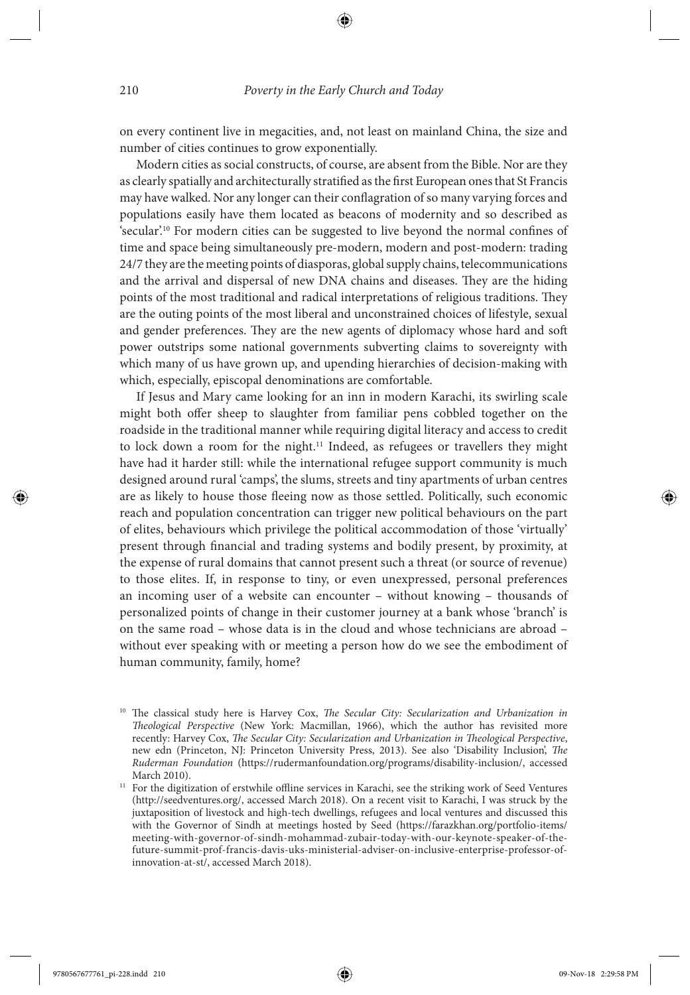on every continent live in megacities, and, not least on mainland China, the size and number of cities continues to grow exponentially.

 Modern cities as social constructs, of course, are absent from the Bible. Nor are they as clearly spatially and architecturally stratified as the first European ones that St Francis may have walked. Nor any longer can their conflagration of so many varying forces and populations easily have them located as beacons of modernity and so described as 'secular'.<sup>10</sup> For modern cities can be suggested to live beyond the normal confines of time and space being simultaneously pre-modern, modern and post-modern: trading 24/7 they are the meeting points of diasporas, global supply chains, telecommunications and the arrival and dispersal of new DNA chains and diseases. They are the hiding points of the most traditional and radical interpretations of religious traditions. They are the outing points of the most liberal and unconstrained choices of lifestyle, sexual and gender preferences. They are the new agents of diplomacy whose hard and soft power outstrips some national governments subverting claims to sovereignty with which many of us have grown up, and upending hierarchies of decision-making with which, especially, episcopal denominations are comfortable.

 If Jesus and Mary came looking for an inn in modern Karachi, its swirling scale might both offer sheep to slaughter from familiar pens cobbled together on the roadside in the traditional manner while requiring digital literacy and access to credit to lock down a room for the night.<sup>11</sup> Indeed, as refugees or travellers they might have had it harder still: while the international refugee support community is much designed around rural 'camps', the slums, streets and tiny apartments of urban centres are as likely to house those fleeing now as those settled. Politically, such economic reach and population concentration can trigger new political behaviours on the part of elites, behaviours which privilege the political accommodation of those 'virtually' present through financial and trading systems and bodily present, by proximity, at the expense of rural domains that cannot present such a threat (or source of revenue) to those elites. If, in response to tiny, or even unexpressed, personal preferences an incoming user of a website can encounter – without knowing – thousands of personalized points of change in their customer journey at a bank whose 'branch' is on the same road – whose data is in the cloud and whose technicians are abroad – without ever speaking with or meeting a person how do we see the embodiment of human community, family, home?

<sup>&</sup>lt;sup>10</sup> The classical study here is Harvey Cox, *The Secular City: Secularization and Urbanization in Theological Perspective* (New York: Macmillan, 1966), which the author has revisited more recently: Harvey Cox, *The Secular City: Secularization and Urbanization in Theological Perspective*, new edn (Princeton, NJ: Princeton University Press, 2013). See also 'Disability Inclusion', *The Ruderman Foundation* ( https://rudermanfoundation.org/programs/disability-inclusion/ , accessed

March 2010). 11 For the digitization of erstwhile offline services in Karachi, see the striking work of Seed Ventures ( http://seedventures.org/ , accessed March 2018). On a recent visit to Karachi, I was struck by the juxtaposition of livestock and high-tech dwellings, refugees and local ventures and discussed this with the Governor of Sindh at meetings hosted by Seed ( https://farazkhan.org/portfolio-items/ meeting-with-governor-of-sindh-mohammad-zubair-today-with-our-keynote-speaker-of-thefuture-summit-prof-francis-davis-uks-ministerial-adviser-on-inclusive-enterprise-professor-ofinnovation-at-st/, accessed March 2018).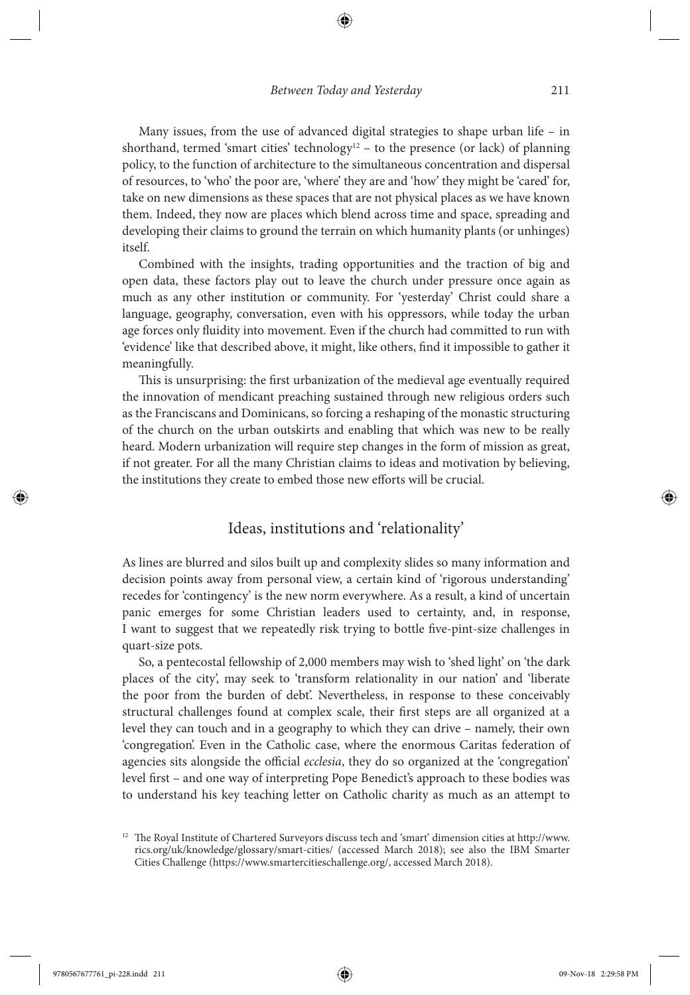Many issues, from the use of advanced digital strategies to shape urban life – in shorthand, termed 'smart cities' technology<sup>12</sup> – to the presence (or lack) of planning policy, to the function of architecture to the simultaneous concentration and dispersal of resources, to 'who' the poor are, 'where' they are and 'how' they might be 'cared' for, take on new dimensions as these spaces that are not physical places as we have known them. Indeed, they now are places which blend across time and space, spreading and developing their claims to ground the terrain on which humanity plants (or unhinges) itself.

 Combined with the insights, trading opportunities and the traction of big and open data, these factors play out to leave the church under pressure once again as much as any other institution or community. For 'yesterday' Christ could share a language, geography, conversation, even with his oppressors, while today the urban age forces only fluidity into movement. Even if the church had committed to run with 'evidence' like that described above, it might, like others, find it impossible to gather it meaningfully.

This is unsurprising: the first urbanization of the medieval age eventually required the innovation of mendicant preaching sustained through new religious orders such as the Franciscans and Dominicans, so forcing a reshaping of the monastic structuring of the church on the urban outskirts and enabling that which was new to be really heard. Modern urbanization will require step changes in the form of mission as great, if not greater. For all the many Christian claims to ideas and motivation by believing, the institutions they create to embed those new efforts will be crucial.

#### Ideas, institutions and 'relationality'

 As lines are blurred and silos built up and complexity slides so many information and decision points away from personal view, a certain kind of 'rigorous understanding' recedes for 'contingency' is the new norm everywhere. As a result, a kind of uncertain panic emerges for some Christian leaders used to certainty, and, in response, I want to suggest that we repeatedly risk trying to bottle five-pint-size challenges in quart-size pots.

 So, a pentecostal fellowship of 2,000 members may wish to 'shed light' on 'the dark places of the city', may seek to 'transform relationality in our nation' and 'liberate the poor from the burden of debt'. Nevertheless, in response to these conceivably structural challenges found at complex scale, their first steps are all organized at a level they can touch and in a geography to which they can drive – namely, their own 'congregation'. Even in the Catholic case, where the enormous Caritas federation of agencies sits alongside the official *ecclesia*, they do so organized at the 'congregation' level first – and one way of interpreting Pope Benedict's approach to these bodies was to understand his key teaching letter on Catholic charity as much as an attempt to

↔

<sup>&</sup>lt;sup>12</sup> The Royal Institute of Chartered Surveyors discuss tech and 'smart' dimension cities at http://www. rics.org/uk/knowledge/glossary/smart-cities/ (accessed March 2018); see also the IBM Smarter Cities Challenge ( https://www.smartercitieschallenge.org/ , accessed March 2018).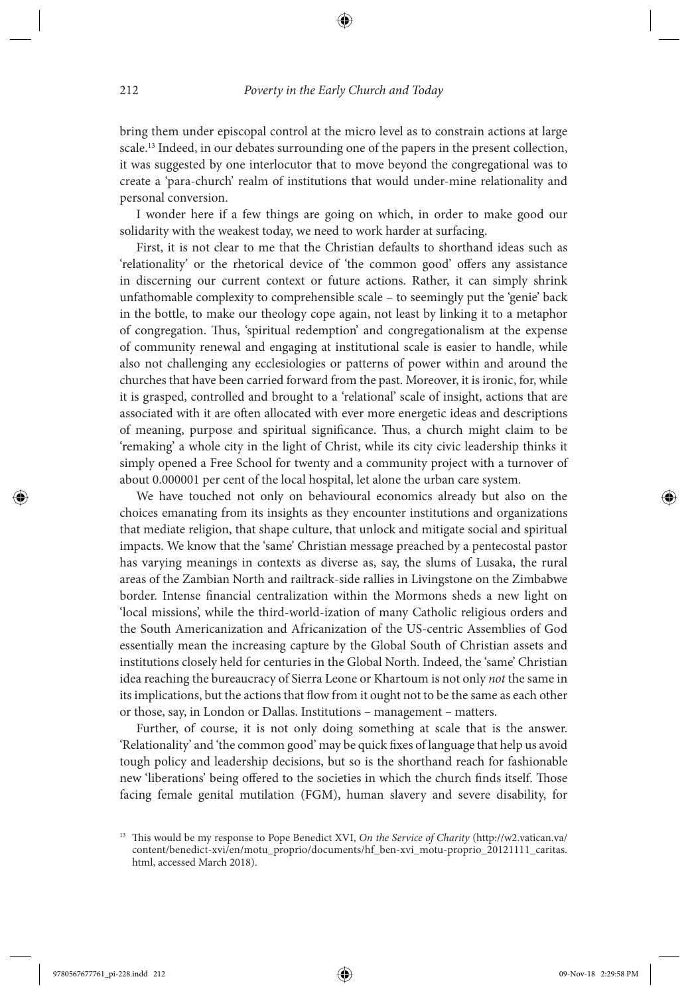⊕

bring them under episcopal control at the micro level as to constrain actions at large scale.<sup>13</sup> Indeed, in our debates surrounding one of the papers in the present collection, it was suggested by one interlocutor that to move beyond the congregational was to create a 'para-church' realm of institutions that would under-mine relationality and personal conversion.

 I wonder here if a few things are going on which, in order to make good our solidarity with the weakest today, we need to work harder at surfacing.

 First, it is not clear to me that the Christian defaults to shorthand ideas such as 'relationality' or the rhetorical device of 'the common good' offers any assistance in discerning our current context or future actions. Rather, it can simply shrink unfathomable complexity to comprehensible scale – to seemingly put the 'genie' back in the bottle, to make our theology cope again, not least by linking it to a metaphor of congregation. Thus, 'spiritual redemption' and congregationalism at the expense of community renewal and engaging at institutional scale is easier to handle, while also not challenging any ecclesiologies or patterns of power within and around the churches that have been carried forward from the past. Moreover, it is ironic, for, while it is grasped, controlled and brought to a 'relational' scale of insight, actions that are associated with it are often allocated with ever more energetic ideas and descriptions of meaning, purpose and spiritual significance. Thus, a church might claim to be 'remaking' a whole city in the light of Christ, while its city civic leadership thinks it simply opened a Free School for twenty and a community project with a turnover of about 0.000001 per cent of the local hospital, let alone the urban care system.

 We have touched not only on behavioural economics already but also on the choices emanating from its insights as they encounter institutions and organizations that mediate religion, that shape culture, that unlock and mitigate social and spiritual impacts. We know that the 'same' Christian message preached by a pentecostal pastor has varying meanings in contexts as diverse as, say, the slums of Lusaka, the rural areas of the Zambian North and railtrack-side rallies in Livingstone on the Zimbabwe border. Intense financial centralization within the Mormons sheds a new light on 'local missions', while the third-world-ization of many Catholic religious orders and the South Americanization and Africanization of the US-centric Assemblies of God essentially mean the increasing capture by the Global South of Christian assets and institutions closely held for centuries in the Global North. Indeed, the 'same' Christian idea reaching the bureaucracy of Sierra Leone or Khartoum is not only *not* the same in its implications, but the actions that flow from it ought not to be the same as each other or those, say, in London or Dallas. Institutions – management – matters.

 Further, of course, it is not only doing something at scale that is the answer. 'Relationality' and 'the common good' may be quick fixes of language that help us avoid tough policy and leadership decisions, but so is the shorthand reach for fashionable new 'liberations' being offered to the societies in which the church finds itself. Those facing female genital mutilation (FGM), human slavery and severe disability, for

<sup>&</sup>lt;sup>13</sup> This would be my response to Pope Benedict XVI, On the Service of Charity (http://w2.vatican.va/ content/benedict-xvi/en/motu\_proprio/documents/hf\_ben-xvi\_motu-proprio\_20121111\_caritas. html, accessed March 2018).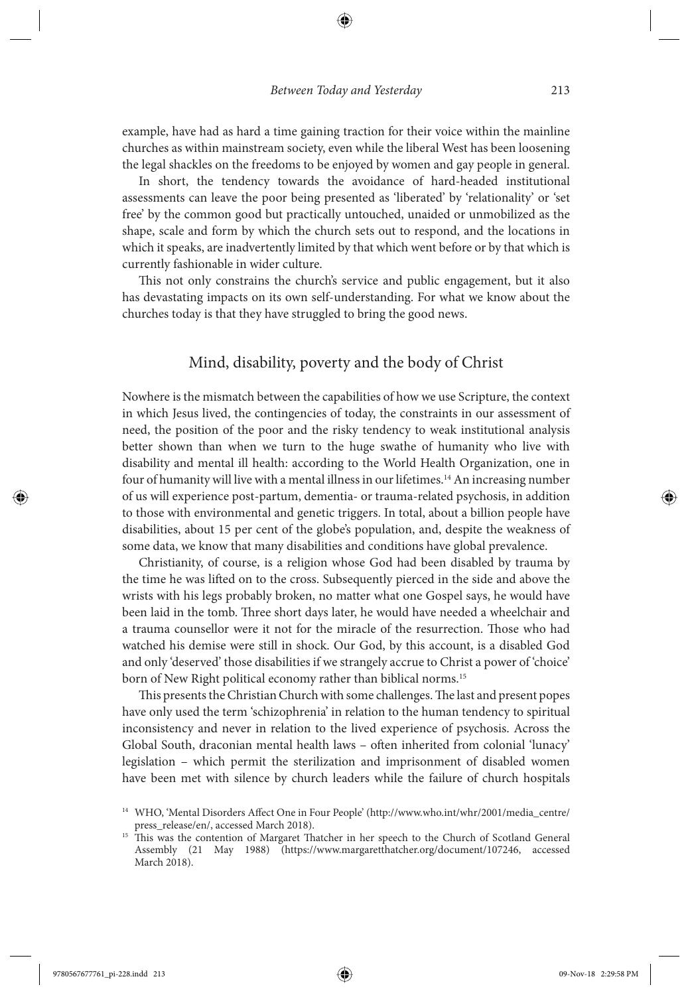example, have had as hard a time gaining traction for their voice within the mainline churches as within mainstream society, even while the liberal West has been loosening the legal shackles on the freedoms to be enjoyed by women and gay people in general.

 In short, the tendency towards the avoidance of hard-headed institutional assessments can leave the poor being presented as 'liberated' by 'relationality' or 'set free' by the common good but practically untouched, unaided or unmobilized as the shape, scale and form by which the church sets out to respond, and the locations in which it speaks, are inadvertently limited by that which went before or by that which is currently fashionable in wider culture.

This not only constrains the church's service and public engagement, but it also has devastating impacts on its own self-understanding. For what we know about the churches today is that they have struggled to bring the good news.

#### Mind, disability, poverty and the body of Christ

 Nowhere is the mismatch between the capabilities of how we use Scripture, the context in which Jesus lived, the contingencies of today, the constraints in our assessment of need, the position of the poor and the risky tendency to weak institutional analysis better shown than when we turn to the huge swathe of humanity who live with disability and mental ill health: according to the World Health Organization, one in four of humanity will live with a mental illness in our lifetimes. 14 An increasing number of us will experience post-partum, dementia- or trauma-related psychosis, in addition to those with environmental and genetic triggers. In total, about a billion people have disabilities, about 15 per cent of the globe's population, and, despite the weakness of some data, we know that many disabilities and conditions have global prevalence.

 Christianity, of course, is a religion whose God had been disabled by trauma by the time he was lifted on to the cross. Subsequently pierced in the side and above the wrists with his legs probably broken, no matter what one Gospel says, he would have been laid in the tomb. Three short days later, he would have needed a wheelchair and a trauma counsellor were it not for the miracle of the resurrection. Those who had watched his demise were still in shock. Our God, by this account, is a disabled God and only 'deserved' those disabilities if we strangely accrue to Christ a power of 'choice' born of New Right political economy rather than biblical norms. 15

This presents the Christian Church with some challenges. The last and present popes have only used the term 'schizophrenia' in relation to the human tendency to spiritual inconsistency and never in relation to the lived experience of psychosis. Across the Global South, draconian mental health laws – often inherited from colonial 'lunacy' legislation – which permit the sterilization and imprisonment of disabled women have been met with silence by church leaders while the failure of church hospitals



<sup>&</sup>lt;sup>14</sup> WHO, 'Mental Disorders Affect One in Four People' (http://www.who.int/whr/2001/media\_centre/ press\_release/en/, accessed March 2018).<br><sup>15</sup> This was the contention of Margaret Thatcher in her speech to the Church of Scotland General

Assembly (21 May 1988) (https://www.margaretthatcher.org/document/107246, accessed March 2018).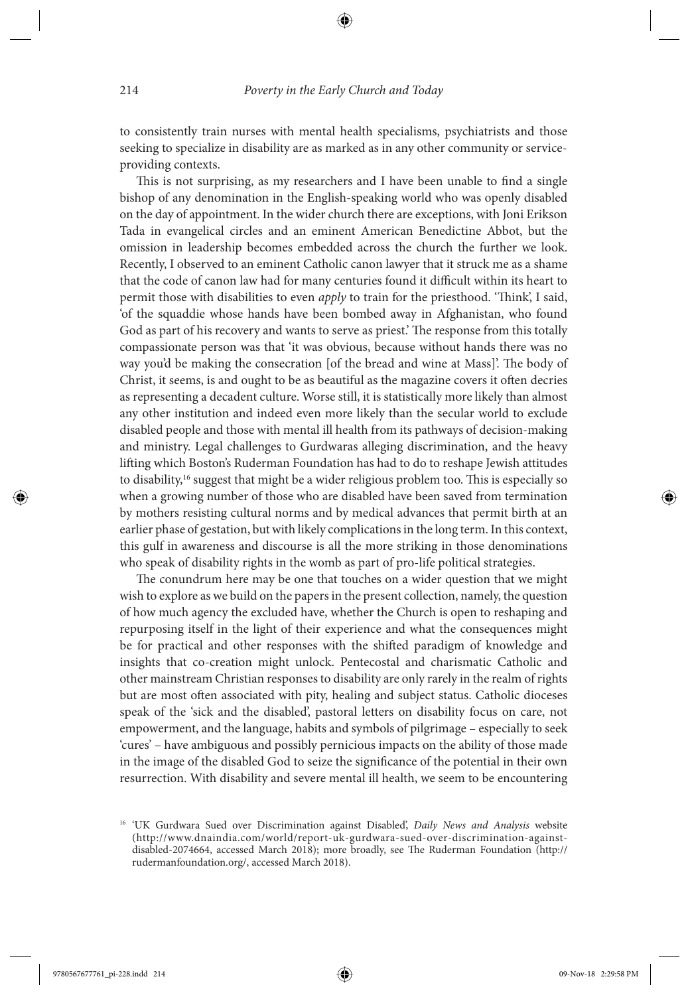⊕

to consistently train nurses with mental health specialisms, psychiatrists and those seeking to specialize in disability are as marked as in any other community or serviceproviding contexts.

This is not surprising, as my researchers and I have been unable to find a single bishop of any denomination in the English-speaking world who was openly disabled on the day of appointment. In the wider church there are exceptions, with Joni Erikson Tada in evangelical circles and an eminent American Benedictine Abbot, but the omission in leadership becomes embedded across the church the further we look. Recently, I observed to an eminent Catholic canon lawyer that it struck me as a shame that the code of canon law had for many centuries found it difficult within its heart to permit those with disabilities to even *apply* to train for the priesthood. 'Think', I said, 'of the squaddie whose hands have been bombed away in Afghanistan, who found God as part of his recovery and wants to serve as priest. The response from this totally compassionate person was that 'it was obvious, because without hands there was no way you'd be making the consecration [of the bread and wine at Mass]'. The body of Christ, it seems, is and ought to be as beautiful as the magazine covers it often decries as representing a decadent culture. Worse still, it is statistically more likely than almost any other institution and indeed even more likely than the secular world to exclude disabled people and those with mental ill health from its pathways of decision-making and ministry. Legal challenges to Gurdwaras alleging discrimination, and the heavy lifting which Boston's Ruderman Foundation has had to do to reshape Jewish attitudes to disability,<sup>16</sup> suggest that might be a wider religious problem too. This is especially so when a growing number of those who are disabled have been saved from termination by mothers resisting cultural norms and by medical advances that permit birth at an earlier phase of gestation, but with likely complications in the long term. In this context, this gulf in awareness and discourse is all the more striking in those denominations who speak of disability rights in the womb as part of pro-life political strategies.

The conundrum here may be one that touches on a wider question that we might wish to explore as we build on the papers in the present collection, namely, the question of how much agency the excluded have, whether the Church is open to reshaping and repurposing itself in the light of their experience and what the consequences might be for practical and other responses with the shifted paradigm of knowledge and insights that co-creation might unlock. Pentecostal and charismatic Catholic and other mainstream Christian responses to disability are only rarely in the realm of rights but are most often associated with pity, healing and subject status. Catholic dioceses speak of the 'sick and the disabled', pastoral letters on disability focus on care, not empowerment, and the language, habits and symbols of pilgrimage – especially to seek 'cures' – have ambiguous and possibly pernicious impacts on the ability of those made in the image of the disabled God to seize the significance of the potential in their own resurrection. With disability and severe mental ill health, we seem to be encountering

<sup>&</sup>lt;sup>16</sup> 'UK Gurdwara Sued over Discrimination against Disabled', *Daily News and Analysis* website ( http://www.dnaindia.com/world/report-uk-gurdwara-sued-over-discrimination-againstdisabled-2074664, accessed March 2018); more broadly, see The Ruderman Foundation (http:// rudermanfoundation.org/, accessed March 2018).